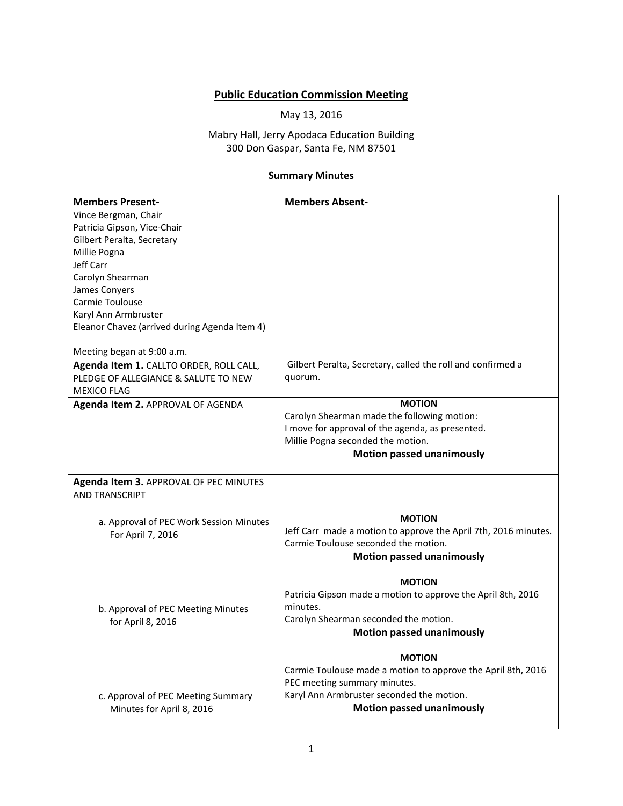## **Public Education Commission Meeting**

May 13, 2016

Mabry Hall, Jerry Apodaca Education Building 300 Don Gaspar, Santa Fe, NM 87501

## **Summary Minutes**

| <b>Members Present-</b>                       | <b>Members Absent-</b>                                                                                  |
|-----------------------------------------------|---------------------------------------------------------------------------------------------------------|
| Vince Bergman, Chair                          |                                                                                                         |
| Patricia Gipson, Vice-Chair                   |                                                                                                         |
| Gilbert Peralta, Secretary                    |                                                                                                         |
| Millie Pogna                                  |                                                                                                         |
| Jeff Carr                                     |                                                                                                         |
| Carolyn Shearman                              |                                                                                                         |
| James Conyers                                 |                                                                                                         |
| Carmie Toulouse                               |                                                                                                         |
| Karyl Ann Armbruster                          |                                                                                                         |
| Eleanor Chavez (arrived during Agenda Item 4) |                                                                                                         |
|                                               |                                                                                                         |
| Meeting began at 9:00 a.m.                    |                                                                                                         |
| Agenda Item 1. CALLTO ORDER, ROLL CALL,       | Gilbert Peralta, Secretary, called the roll and confirmed a                                             |
| PLEDGE OF ALLEGIANCE & SALUTE TO NEW          | quorum.                                                                                                 |
| <b>MEXICO FLAG</b>                            |                                                                                                         |
| Agenda Item 2. APPROVAL OF AGENDA             | <b>MOTION</b>                                                                                           |
|                                               | Carolyn Shearman made the following motion:                                                             |
|                                               | I move for approval of the agenda, as presented.                                                        |
|                                               | Millie Pogna seconded the motion.                                                                       |
|                                               | <b>Motion passed unanimously</b>                                                                        |
|                                               |                                                                                                         |
| Agenda Item 3. APPROVAL OF PEC MINUTES        |                                                                                                         |
| <b>AND TRANSCRIPT</b>                         |                                                                                                         |
|                                               | <b>MOTION</b>                                                                                           |
| a. Approval of PEC Work Session Minutes       |                                                                                                         |
| For April 7, 2016                             | Jeff Carr made a motion to approve the April 7th, 2016 minutes.<br>Carmie Toulouse seconded the motion. |
|                                               |                                                                                                         |
|                                               | <b>Motion passed unanimously</b>                                                                        |
|                                               | <b>MOTION</b>                                                                                           |
|                                               | Patricia Gipson made a motion to approve the April 8th, 2016                                            |
| b. Approval of PEC Meeting Minutes            | minutes.                                                                                                |
| for April 8, 2016                             | Carolyn Shearman seconded the motion.                                                                   |
|                                               | <b>Motion passed unanimously</b>                                                                        |
|                                               |                                                                                                         |
|                                               | <b>MOTION</b>                                                                                           |
|                                               | Carmie Toulouse made a motion to approve the April 8th, 2016                                            |
|                                               | PEC meeting summary minutes.                                                                            |
| c. Approval of PEC Meeting Summary            | Karyl Ann Armbruster seconded the motion.                                                               |
| Minutes for April 8, 2016                     | <b>Motion passed unanimously</b>                                                                        |
|                                               |                                                                                                         |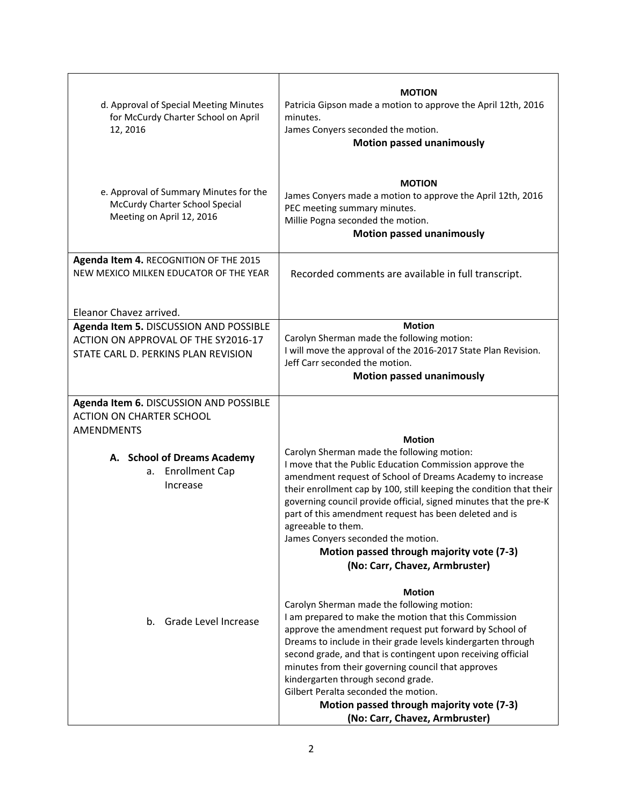| d. Approval of Special Meeting Minutes<br>for McCurdy Charter School on April<br>12, 2016                            | <b>MOTION</b><br>Patricia Gipson made a motion to approve the April 12th, 2016<br>minutes.<br>James Conyers seconded the motion.<br><b>Motion passed unanimously</b>                                                                                                                                                                                                                                                                                                                                                              |
|----------------------------------------------------------------------------------------------------------------------|-----------------------------------------------------------------------------------------------------------------------------------------------------------------------------------------------------------------------------------------------------------------------------------------------------------------------------------------------------------------------------------------------------------------------------------------------------------------------------------------------------------------------------------|
| e. Approval of Summary Minutes for the<br>McCurdy Charter School Special<br>Meeting on April 12, 2016                | <b>MOTION</b><br>James Conyers made a motion to approve the April 12th, 2016<br>PEC meeting summary minutes.<br>Millie Pogna seconded the motion.<br><b>Motion passed unanimously</b>                                                                                                                                                                                                                                                                                                                                             |
| Agenda Item 4. RECOGNITION OF THE 2015<br>NEW MEXICO MILKEN EDUCATOR OF THE YEAR                                     | Recorded comments are available in full transcript.                                                                                                                                                                                                                                                                                                                                                                                                                                                                               |
| Eleanor Chavez arrived.                                                                                              |                                                                                                                                                                                                                                                                                                                                                                                                                                                                                                                                   |
| Agenda Item 5. DISCUSSION AND POSSIBLE<br>ACTION ON APPROVAL OF THE SY2016-17<br>STATE CARL D. PERKINS PLAN REVISION | <b>Motion</b><br>Carolyn Sherman made the following motion:<br>I will move the approval of the 2016-2017 State Plan Revision.<br>Jeff Carr seconded the motion.<br><b>Motion passed unanimously</b>                                                                                                                                                                                                                                                                                                                               |
| Agenda Item 6. DISCUSSION AND POSSIBLE                                                                               |                                                                                                                                                                                                                                                                                                                                                                                                                                                                                                                                   |
| <b>ACTION ON CHARTER SCHOOL</b>                                                                                      |                                                                                                                                                                                                                                                                                                                                                                                                                                                                                                                                   |
| <b>AMENDMENTS</b>                                                                                                    | <b>Motion</b>                                                                                                                                                                                                                                                                                                                                                                                                                                                                                                                     |
| A. School of Dreams Academy<br><b>Enrollment Cap</b><br>а.<br>Increase                                               | Carolyn Sherman made the following motion:<br>I move that the Public Education Commission approve the<br>amendment request of School of Dreams Academy to increase<br>their enrollment cap by 100, still keeping the condition that their<br>governing council provide official, signed minutes that the pre-K<br>part of this amendment request has been deleted and is<br>agreeable to them.<br>James Conyers seconded the motion.<br>Motion passed through majority vote (7-3)<br>(No: Carr, Chavez, Armbruster)               |
| b. Grade Level Increase                                                                                              | <b>Motion</b><br>Carolyn Sherman made the following motion:<br>I am prepared to make the motion that this Commission<br>approve the amendment request put forward by School of<br>Dreams to include in their grade levels kindergarten through<br>second grade, and that is contingent upon receiving official<br>minutes from their governing council that approves<br>kindergarten through second grade.<br>Gilbert Peralta seconded the motion.<br>Motion passed through majority vote (7-3)<br>(No: Carr, Chavez, Armbruster) |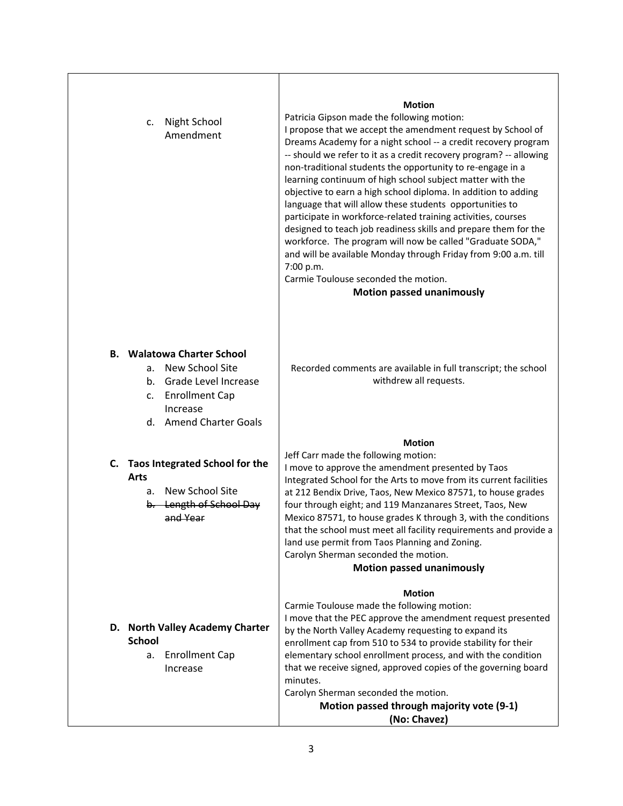|    | Night School<br>c.<br>Amendment                                                                                                                                      | <b>Motion</b><br>Patricia Gipson made the following motion:<br>I propose that we accept the amendment request by School of<br>Dreams Academy for a night school -- a credit recovery program<br>-- should we refer to it as a credit recovery program? -- allowing<br>non-traditional students the opportunity to re-engage in a<br>learning continuum of high school subject matter with the<br>objective to earn a high school diploma. In addition to adding<br>language that will allow these students opportunities to<br>participate in workforce-related training activities, courses<br>designed to teach job readiness skills and prepare them for the<br>workforce. The program will now be called "Graduate SODA,"<br>and will be available Monday through Friday from 9:00 a.m. till<br>7:00 p.m.<br>Carmie Toulouse seconded the motion.<br><b>Motion passed unanimously</b> |
|----|----------------------------------------------------------------------------------------------------------------------------------------------------------------------|-------------------------------------------------------------------------------------------------------------------------------------------------------------------------------------------------------------------------------------------------------------------------------------------------------------------------------------------------------------------------------------------------------------------------------------------------------------------------------------------------------------------------------------------------------------------------------------------------------------------------------------------------------------------------------------------------------------------------------------------------------------------------------------------------------------------------------------------------------------------------------------------|
| В. | <b>Walatowa Charter School</b><br>New School Site<br>a.<br>Grade Level Increase<br>b.<br><b>Enrollment Cap</b><br>c.<br>Increase<br><b>Amend Charter Goals</b><br>d. | Recorded comments are available in full transcript; the school<br>withdrew all requests.                                                                                                                                                                                                                                                                                                                                                                                                                                                                                                                                                                                                                                                                                                                                                                                                  |
| C. | <b>Taos Integrated School for the</b><br><b>Arts</b><br>New School Site<br>a.<br>b. Length of School Day<br>and Year                                                 | <b>Motion</b><br>Jeff Carr made the following motion:<br>I move to approve the amendment presented by Taos<br>Integrated School for the Arts to move from its current facilities<br>at 212 Bendix Drive, Taos, New Mexico 87571, to house grades<br>four through eight; and 119 Manzanares Street, Taos, New<br>Mexico 87571, to house grades K through 3, with the conditions<br>that the school must meet all facility requirements and provide a<br>land use permit from Taos Planning and Zoning.<br>Carolyn Sherman seconded the motion.<br><b>Motion passed unanimously</b>                                                                                                                                                                                                                                                                                                         |
|    | D. North Valley Academy Charter<br><b>School</b><br><b>Enrollment Cap</b><br>a.<br>Increase                                                                          | <b>Motion</b><br>Carmie Toulouse made the following motion:<br>I move that the PEC approve the amendment request presented<br>by the North Valley Academy requesting to expand its<br>enrollment cap from 510 to 534 to provide stability for their<br>elementary school enrollment process, and with the condition<br>that we receive signed, approved copies of the governing board<br>minutes.<br>Carolyn Sherman seconded the motion.<br>Motion passed through majority vote (9-1)                                                                                                                                                                                                                                                                                                                                                                                                    |

**(No: Chavez)**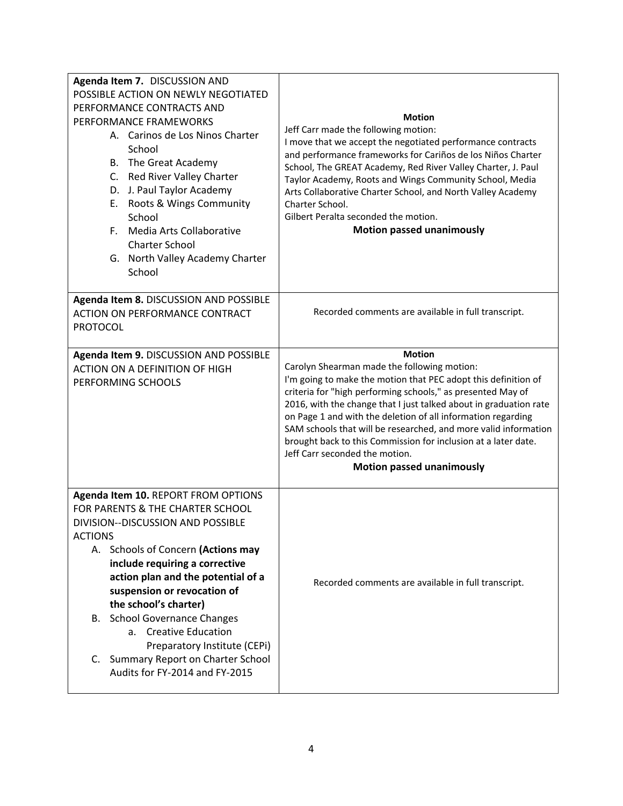| Agenda Item 7. DISCUSSION AND                                                   |                                                                                                                           |
|---------------------------------------------------------------------------------|---------------------------------------------------------------------------------------------------------------------------|
| POSSIBLE ACTION ON NEWLY NEGOTIATED                                             |                                                                                                                           |
| PERFORMANCE CONTRACTS AND                                                       |                                                                                                                           |
| PERFORMANCE FRAMEWORKS                                                          | <b>Motion</b>                                                                                                             |
| A. Carinos de Los Ninos Charter                                                 | Jeff Carr made the following motion:                                                                                      |
| School                                                                          | I move that we accept the negotiated performance contracts<br>and performance frameworks for Cariños de los Niños Charter |
| B. The Great Academy                                                            | School, The GREAT Academy, Red River Valley Charter, J. Paul                                                              |
| C. Red River Valley Charter                                                     | Taylor Academy, Roots and Wings Community School, Media                                                                   |
| D. J. Paul Taylor Academy                                                       | Arts Collaborative Charter School, and North Valley Academy                                                               |
| Roots & Wings Community<br>Е.                                                   | Charter School.                                                                                                           |
| School                                                                          | Gilbert Peralta seconded the motion.                                                                                      |
| F. Media Arts Collaborative                                                     | <b>Motion passed unanimously</b>                                                                                          |
| <b>Charter School</b>                                                           |                                                                                                                           |
| G. North Valley Academy Charter                                                 |                                                                                                                           |
| School                                                                          |                                                                                                                           |
|                                                                                 |                                                                                                                           |
| Agenda Item 8. DISCUSSION AND POSSIBLE                                          |                                                                                                                           |
| <b>ACTION ON PERFORMANCE CONTRACT</b>                                           | Recorded comments are available in full transcript.                                                                       |
| <b>PROTOCOL</b>                                                                 |                                                                                                                           |
|                                                                                 | <b>Motion</b>                                                                                                             |
| Agenda Item 9. DISCUSSION AND POSSIBLE<br><b>ACTION ON A DEFINITION OF HIGH</b> | Carolyn Shearman made the following motion:                                                                               |
| PERFORMING SCHOOLS                                                              | I'm going to make the motion that PEC adopt this definition of                                                            |
|                                                                                 | criteria for "high performing schools," as presented May of                                                               |
|                                                                                 | 2016, with the change that I just talked about in graduation rate                                                         |
|                                                                                 | on Page 1 and with the deletion of all information regarding                                                              |
|                                                                                 | SAM schools that will be researched, and more valid information                                                           |
|                                                                                 | brought back to this Commission for inclusion at a later date.                                                            |
|                                                                                 | Jeff Carr seconded the motion.<br><b>Motion passed unanimously</b>                                                        |
|                                                                                 |                                                                                                                           |
| Agenda Item 10. REPORT FROM OPTIONS                                             |                                                                                                                           |
| FOR PARENTS & THE CHARTER SCHOOL                                                |                                                                                                                           |
| DIVISION--DISCUSSION AND POSSIBLE                                               |                                                                                                                           |
| <b>ACTIONS</b>                                                                  |                                                                                                                           |
| A. Schools of Concern (Actions may                                              |                                                                                                                           |
| include requiring a corrective                                                  |                                                                                                                           |
| action plan and the potential of a                                              | Recorded comments are available in full transcript.                                                                       |
| suspension or revocation of                                                     |                                                                                                                           |
| the school's charter)                                                           |                                                                                                                           |
| <b>B.</b> School Governance Changes                                             |                                                                                                                           |
| a. Creative Education                                                           |                                                                                                                           |
| Preparatory Institute (CEPi)                                                    |                                                                                                                           |
| C. Summary Report on Charter School                                             |                                                                                                                           |
|                                                                                 |                                                                                                                           |
| Audits for FY-2014 and FY-2015                                                  |                                                                                                                           |